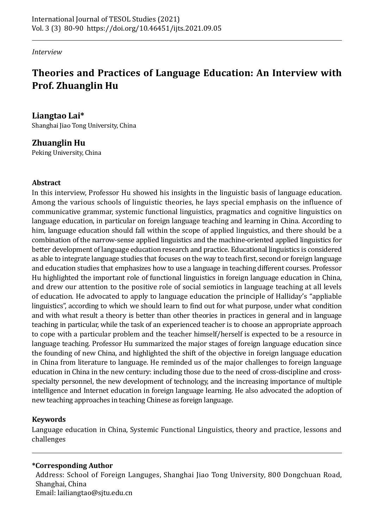#### *Interview*

# **Theories and Practices of Language Education: An Interview with Prof. Zhuanglin Hu**

### **Liangtao Lai\***

Shanghai Jiao Tong University, China

### **Zhuanglin Hu**

Peking University, China

#### **Abstract**

In this interview, Professor Hu showed his insights in the linguistic basis of language education. Among the various schools of linguistic theories, he lays special emphasis on the influence of communicative grammar, systemic functional linguistics, pragmatics and cognitive linguistics on language education, in particular on foreign language teaching and learning in China. According to him, language education should fall within the scope of applied linguistics, and there should be a combination of the narrow-sense applied linguistics and the machine-oriented applied linguistics for better development of language education research and practice. Educational linguistics is considered as able to integrate language studies that focuses on the way to teach first, second or foreign language and education studies that emphasizes how to use a language in teaching different courses. Professor Hu highlighted the important role of functional linguistics in foreign language education in China, and drew our attention to the positive role of social semiotics in language teaching at all levels of education. He advocated to apply to language education the principle of Halliday's "appliable linguistics", according to which we should learn to find out for what purpose, under what condition and with what result a theory is better than other theories in practices in general and in language teaching in particular, while the task of an experienced teacher is to choose an appropriate approach to cope with a particular problem and the teacher himself/herself is expected to be a resource in language teaching. Professor Hu summarized the major stages of foreign language education since the founding of new China, and highlighted the shift of the objective in foreign language education in China from literature to language. He reminded us of the major challenges to foreign language education in China in the new century: including those due to the need of cross-discipline and crossspecialty personnel, the new development of technology, and the increasing importance of multiple intelligence and Internet education in foreign language learning. He also advocated the adoption of new teaching approaches in teaching Chinese as foreign language.

#### **Keywords**

Language education in China, Systemic Functional Linguistics, theory and practice, lessons and challenges

#### **\*Corresponding Author**

Address: School of Foreign Languges, Shanghai Jiao Tong University, 800 Dongchuan Road, Shanghai, China Email: lailiangtao@sjtu.edu.cn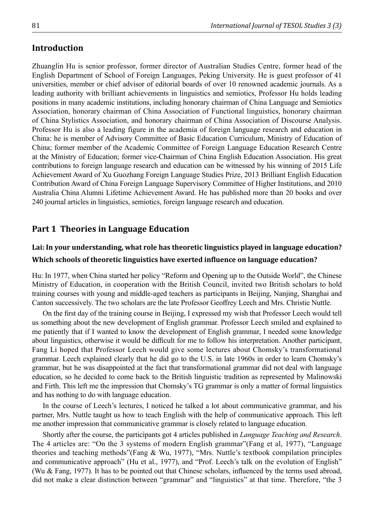#### **Introduction**

Zhuanglin Hu is senior professor, former director of Australian Studies Centre, former head of the English Department of School of Foreign Languages, Peking University. He is guest professor of 41 universities, member or chief advisor of editorial boards of over 10 renowned academic journals. As a leading authority with brilliant achievements in linguistics and semiotics, Professor Hu holds leading positions in many academic institutions, including honorary chairman of China Language and Semiotics Association, honorary chairman of China Association of Functional linguistics, honorary chairman of China Stylistics Association, and honorary chairman of China Association of Discourse Analysis. Professor Hu is also a leading figure in the academia of foreign language research and education in China: he is member of Advisory Committee of Basic Education Curriculum, Ministry of Education of China; former member of the Academic Committee of Foreign Language Education Research Centre at the Ministry of Education; former vice-Chairman of China English Education Association. His great contributions to foreign language research and education can be witnessed by his winning of 2015 Life Achievement Award of Xu Guozhang Foreign Language Studies Prize, 2013 Brilliant English Education Contribution Award of China Foreign Language Supervisory Committee of Higher Institutions, and 2010 Australia China Alumni Lifetime Achievement Award. He has published more than 20 books and over 240 journal articles in linguistics, semiotics, foreign language research and education.

#### **Part 1 Theories in Language Education**

## **Lai: In your understanding, what role has theoretic linguistics played in language education? Which schools of theoretic linguistics have exerted influence on language education?**

Hu: In 1977, when China started her policy "Reform and Opening up to the Outside World", the Chinese Ministry of Education, in cooperation with the British Council, invited two British scholars to hold training courses with young and middle-aged teachers as participants in Beijing, Nanjing, Shanghai and Canton successively. The two scholars are the late Professor Geoffrey Leech and Mrs. Christie Nuttle.

On the first day of the training course in Beijing, I expressed my wish that Professor Leech would tell us something about the new development of English grammar. Professor Leech smiled and explained to me patiently that if I wanted to know the development of English grammar, I needed some knowledge about linguistics, otherwise it would be difficult for me to follow his interpretation. Another participant, Fang Li hoped that Professor Leech would give some lectures about Chomsky's transformational grammar. Leech explained clearly that he did go to the U.S. in late 1960s in order to learn Chomsky's grammar, but he was disappointed at the fact that transformational grammar did not deal with language education, so he decided to come back to the British linguistic tradition as represented by Malinowski and Firth. This left me the impression that Chomsky's TG grammar is only a matter of formal linguistics and has nothing to do with language education.

In the course of Leech's lectures, I noticed he talked a lot about communicative grammar, and his partner, Mrs. Nuttle taught us how to teach English with the help of communicative approach. This left me another impression that communicative grammar is closely related to language education.

Shortly after the course, the participants got 4 articles published in *Language Teaching and Research*. The 4 articles are: "On the 3 systems of modern English grammar"(Fang et al, 1977), "Language theories and teaching methods"(Fang & Wu, 1977), "Mrs. Nuttle's textbook compilation principles and communicative approach" (Hu et al., 1977), and "Prof. Leech's talk on the evolution of English" (Wu & Fang, 1977). It has to be pointed out that Chinese scholars, influenced by the terms used abroad, did not make a clear distinction between "grammar" and "linguistics" at that time. Therefore, "the 3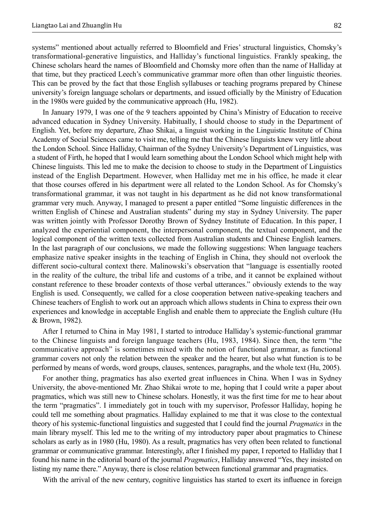systems" mentioned about actually referred to Bloomfield and Fries' structural linguistics, Chomsky's transformational-generative linguistics, and Halliday's functional linguistics. Frankly speaking, the Chinese scholars heard the names of Bloomfield and Chomsky more often than the name of Halliday at that time, but they practiced Leech's communicative grammar more often than other linguistic theories. This can be proved by the fact that those English syllabuses or teaching programs prepared by Chinese university's foreign language scholars or departments, and issued officially by the Ministry of Education in the 1980s were guided by the communicative approach (Hu, 1982).

In January 1979, I was one of the 9 teachers appointed by China's Ministry of Education to receive advanced education in Sydney University. Habitually, I should choose to study in the Department of English. Yet, before my departure, Zhao Shikai, a linguist working in the Linguistic Institute of China Academy of Social Sciences came to visit me, telling me that the Chinese linguists knew very little about the London School. Since Halliday, Chairman of the Sydney University's Department of Linguistics, was a student of Firth, he hoped that I would learn something about the London School which might help with Chinese linguists. This led me to make the decision to choose to study in the Department of Linguistics instead of the English Department. However, when Halliday met me in his office, he made it clear that those courses offered in his department were all related to the London School. As for Chomsky's transformational grammar, it was not taught in his department as he did not know transformational grammar very much. Anyway, I managed to present a paper entitled "Some linguistic differences in the written English of Chinese and Australian students" during my stay in Sydney University. The paper was written jointly with Professor Dorothy Brown of Sydney Institute of Education. In this paper, I analyzed the experiential component, the interpersonal component, the textual component, and the logical component of the written texts collected from Australian students and Chinese English learners. In the last paragraph of our conclusions, we made the following suggestions: When language teachers emphasize native speaker insights in the teaching of English in China, they should not overlook the different socio-cultural context there. Malinowski's observation that "language is essentially rooted in the reality of the culture, the tribal life and customs of a tribe, and it cannot be explained without constant reference to these broader contexts of those verbal utterances." obviously extends to the way English is used. Consequently, we called for a close cooperation between native-speaking teachers and Chinese teachers of English to work out an approach which allows students in China to express their own experiences and knowledge in acceptable English and enable them to appreciate the English culture (Hu & Brown, 1982).

After I returned to China in May 1981, I started to introduce Halliday's systemic-functional grammar to the Chinese linguists and foreign language teachers (Hu, 1983, 1984). Since then, the term "the communicative approach" is sometimes mixed with the notion of functional grammar, as functional grammar covers not only the relation between the speaker and the hearer, but also what function is to be performed by means of words, word groups, clauses, sentences, paragraphs, and the whole text (Hu, 2005).

For another thing, pragmatics has also exerted great influences in China. When I was in Sydney University, the above-mentioned Mr. Zhao Shikai wrote to me, hoping that I could write a paper about pragmatics, which was still new to Chinese scholars. Honestly, it was the first time for me to hear about the term "pragmatics". I immediately got in touch with my supervisor, Professor Halliday, hoping he could tell me something about pragmatics. Halliday explained to me that it was close to the contextual theory of his systemic-functional linguistics and suggested that I could find the journal *Pragmatics* in the main library myself. This led me to the writing of my introductory paper about pragmatics to Chinese scholars as early as in 1980 (Hu, 1980). As a result, pragmatics has very often been related to functional grammar or communicative grammar. Interestingly, after I finished my paper, I reported to Halliday that I found his name in the editorial board of the journal *Pragmatics*, Halliday answered "Yes, they insisted on listing my name there." Anyway, there is close relation between functional grammar and pragmatics.

With the arrival of the new century, cognitive linguistics has started to exert its influence in foreign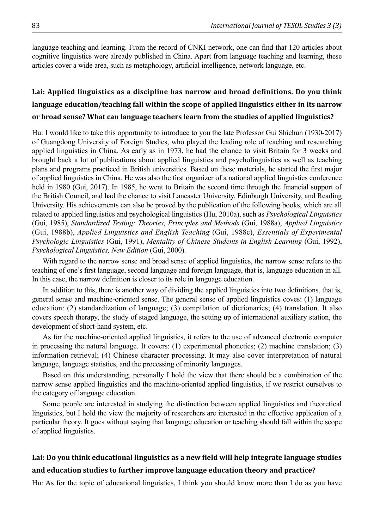language teaching and learning. From the record of CNKI network, one can find that 120 articles about cognitive linguistics were already published in China. Apart from language teaching and learning, these articles cover a wide area, such as metaphology, artificial intelligence, network language, etc.

## **Lai: Applied linguistics as a discipline has narrow and broad definitions. Do you think language education/teaching fall within the scope of applied linguistics either in its narrow or broad sense? What can language teachers learn from the studies of applied linguistics?**

Hu: I would like to take this opportunity to introduce to you the late Professor Gui Shichun (1930-2017) of Guangdong University of Foreign Studies, who played the leading role of teaching and researching applied linguistics in China. As early as in 1973, he had the chance to visit Britain for 3 weeks and brought back a lot of publications about applied linguistics and psycholinguistics as well as teaching plans and programs practiced in British universities. Based on these materials, he started the first major of applied linguistics in China. He was also the first organizer of a national applied linguistics conference held in 1980 (Gui, 2017). In 1985, he went to Britain the second time through the financial support of the British Council, and had the chance to visit Lancaster University, Edinburgh University, and Reading University. His achievements can also be proved by the publication of the following books, which are all related to applied linguistics and psychological linguistics (Hu, 2010a), such as *Psychological Linguistics*  (Gui, 1985), *Standardized Testing: Theories, Principles and Methods* (Gui, 1988a), *Applied Linguistics*  (Gui, 1988b), *Applied Linguistics and English Teaching* (Gui, 1988c), *Essentials of Experimental Psychologic Linguistics* (Gui, 1991), *Mentality of Chinese Students in English Learning* (Gui, 1992), *Psychological Linguistics, New Edition* (Gui, 2000).

With regard to the narrow sense and broad sense of applied linguistics, the narrow sense refers to the teaching of one's first language, second language and foreign language, that is, language education in all. In this case, the narrow definition is closer to its role in language education.

In addition to this, there is another way of dividing the applied linguistics into two definitions, that is, general sense and machine-oriented sense. The general sense of applied linguistics coves: (1) language education: (2) standardization of language; (3) compilation of dictionaries; (4) translation. It also covers speech therapy, the study of staged language, the setting up of international auxiliary station, the development of short-hand system, etc.

As for the machine-oriented applied linguistics, it refers to the use of advanced electronic computer in processing the natural language. It covers: (1) experimental phonetics; (2) machine translation; (3) information retrieval; (4) Chinese character processing. It may also cover interpretation of natural language, language statistics, and the processing of minority languages.

Based on this understanding, personally I hold the view that there should be a combination of the narrow sense applied linguistics and the machine-oriented applied linguistics, if we restrict ourselves to the category of language education.

Some people are interested in studying the distinction between applied linguistics and theoretical linguistics, but I hold the view the majority of researchers are interested in the effective application of a particular theory. It goes without saying that language education or teaching should fall within the scope of applied linguistics.

### **Lai: Do you think educational linguistics as a new field will help integrate language studies and education studies to further improve language education theory and practice?**

Hu: As for the topic of educational linguistics, I think you should know more than I do as you have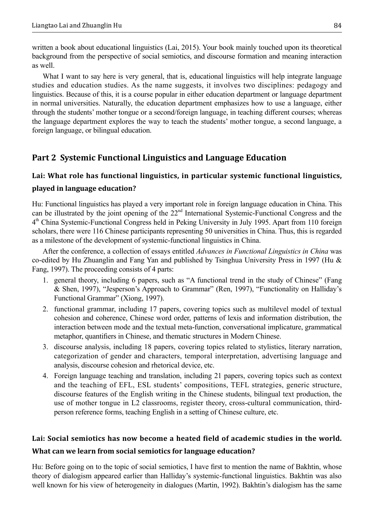written a book about educational linguistics (Lai, 2015). Your book mainly touched upon its theoretical background from the perspective of social semiotics, and discourse formation and meaning interaction as well.

What I want to say here is very general, that is, educational linguistics will help integrate language studies and education studies. As the name suggests, it involves two disciplines: pedagogy and linguistics. Because of this, it is a course popular in either education department or language department in normal universities. Naturally, the education department emphasizes how to use a language, either through the students' mother tongue or a second/foreign language, in teaching different courses; whereas the language department explores the way to teach the students' mother tongue, a second language, a foreign language, or bilingual education.

### **Part 2 Systemic Functional Linguistics and Language Education**

### **Lai: What role has functional linguistics, in particular systemic functional linguistics, played in language education?**

Hu: Functional linguistics has played a very important role in foreign language education in China. This can be illustrated by the joint opening of the 22nd International Systemic-Functional Congress and the 4<sup>th</sup> China Systemic-Functional Congress held in Peking University in July 1995. Apart from 110 foreign scholars, there were 116 Chinese participants representing 50 universities in China. Thus, this is regarded as a milestone of the development of systemic-functional linguistics in China.

After the conference, a collection of essays entitled *Advances in Functional Linguistics in China* was co-edited by Hu Zhuanglin and Fang Yan and published by Tsinghua University Press in 1997 (Hu & Fang, 1997). The proceeding consists of 4 parts:

- 1. general theory, including 6 papers, such as "A functional trend in the study of Chinese" (Fang & Shen, 1997), "Jesperson's Approach to Grammar" (Ren, 1997), "Functionality on Halliday's Functional Grammar" (Xiong, 1997).
- 2. functional grammar, including 17 papers, covering topics such as multilevel model of textual cohesion and coherence, Chinese word order, patterns of lexis and information distribution, the interaction between mode and the textual meta-function, conversational implicature, grammatical metaphor, quantifiers in Chinese, and thematic structures in Modern Chinese.
- 3. discourse analysis, including 18 papers, covering topics related to stylistics, literary narration, categorization of gender and characters, temporal interpretation, advertising language and analysis, discourse cohesion and rhetorical device, etc.
- 4. Foreign language teaching and translation, including 21 papers, covering topics such as context and the teaching of EFL, ESL students' compositions, TEFL strategies, generic structure, discourse features of the English writing in the Chinese students, bilingual text production, the use of mother tongue in L2 classrooms, register theory, cross-cultural communication, thirdperson reference forms, teaching English in a setting of Chinese culture, etc.

## **Lai: Social semiotics has now become a heated field of academic studies in the world. What can we learn from social semiotics for language education?**

Hu: Before going on to the topic of social semiotics, I have first to mention the name of Bakhtin, whose theory of dialogism appeared earlier than Halliday's systemic-functional linguistics. Bakhtin was also well known for his view of heterogeneity in dialogues (Martin, 1992). Bakhtin's dialogism has the same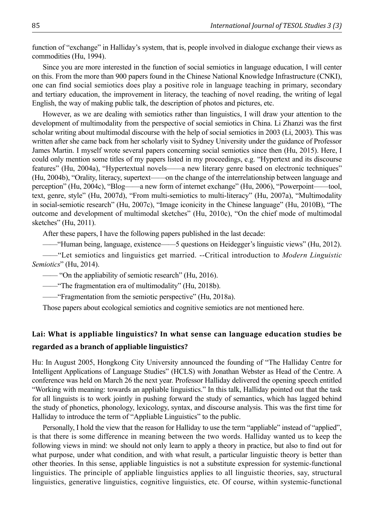function of "exchange" in Halliday's system, that is, people involved in dialogue exchange their views as commodities (Hu, 1994).

Since you are more interested in the function of social semiotics in language education, I will center on this. From the more than 900 papers found in the Chinese National Knowledge Infrastructure (CNKI), one can find social semiotics does play a positive role in language teaching in primary, secondary and tertiary education, the improvement in literacy, the teaching of novel reading, the writing of legal English, the way of making public talk, the description of photos and pictures, etc.

However, as we are dealing with semiotics rather than linguistics, I will draw your attention to the development of multimodality from the perspective of social semiotics in China. Li Zhanzi was the first scholar writing about multimodal discourse with the help of social semiotics in 2003 (Li, 2003). This was written after she came back from her scholarly visit to Sydney University under the guidance of Professor James Martin. I myself wrote several papers concerning social semiotics since then (Hu, 2015). Here, I could only mention some titles of my papers listed in my proceedings, e.g. "Hypertext and its discourse features" (Hu, 2004a), "Hypertextual novels——a new literary genre based on electronic techniques" (Hu, 2004b), "Orality, literacy, supertext——on the change of the interrelationship between language and perception" (Hu, 2004c), "Blog——a new form of internet exchange" (Hu, 2006), "Powerpoint——tool, text, genre, style" (Hu, 2007d), "From multi-semiotics to multi-literacy" (Hu, 2007a), "Multimodality in social-semiotic research" (Hu, 2007c), "Image iconicity in the Chinese language" (Hu, 2010B), "The outcome and development of multimodal sketches" (Hu, 2010c), "On the chief mode of multimodal sketches" (Hu, 2011).

After these papers, I have the following papers published in the last decade:

——"Human being, language, existence——5 questions on Heidegger's linguistic views" (Hu, 2012).

——"Let semiotics and linguistics get married. --Critical introduction to *Modern Linguistic Semiotics*" (Hu, 2014).

—— "On the appliability of semiotic research" (Hu, 2016).

——"The fragmentation era of multimodality" (Hu, 2018b).

——"Fragmentation from the semiotic perspective" (Hu, 2018a).

Those papers about ecological semiotics and cognitive semiotics are not mentioned here.

### **Lai: What is appliable linguistics? In what sense can language education studies be regarded as a branch of appliable linguistics?**

Hu: In August 2005, Hongkong City University announced the founding of "The Halliday Centre for Intelligent Applications of Language Studies" (HCLS) with Jonathan Webster as Head of the Centre. A conference was held on March 26 the next year. Professor Halliday delivered the opening speech entitled "Working with meaning: towards an appliable linguistics." In this talk, Halliday pointed out that the task for all linguists is to work jointly in pushing forward the study of semantics, which has lagged behind the study of phonetics, phonology, lexicology, syntax, and discourse analysis. This was the first time for Halliday to introduce the term of "Appliable Linguistics" to the public.

Personally, I hold the view that the reason for Halliday to use the term "appliable" instead of "applied", is that there is some difference in meaning between the two words. Halliday wanted us to keep the following views in mind: we should not only learn to apply a theory in practice, but also to find out for what purpose, under what condition, and with what result, a particular linguistic theory is better than other theories. In this sense, appliable linguistics is not a substitute expression for systemic-functional linguistics. The principle of appliable linguistics applies to all linguistic theories, say, structural linguistics, generative linguistics, cognitive linguistics, etc. Of course, within systemic-functional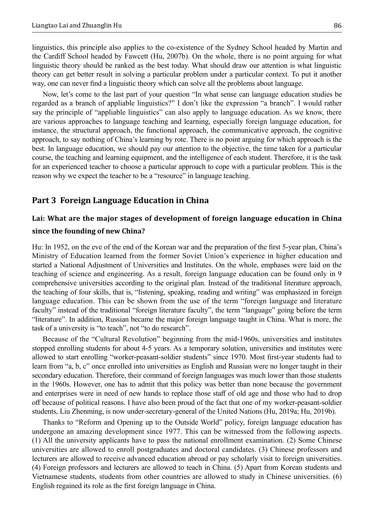linguistics, this principle also applies to the co-existence of the Sydney School headed by Martin and the Cardiff School headed by Fawcett (Hu, 2007b). On the whole, there is no point arguing for what linguistic theory should be ranked as the best today. What should draw our attention is what linguistic theory can get better result in solving a particular problem under a particular context. To put it another way, one can never find a linguistic theory which can solve all the problems about language.

Now, let's come to the last part of your question "In what sense can language education studies be regarded as a branch of appliable linguistics?" I don't like the expression "a branch". I would rather say the principle of "appliable linguistics" can also apply to language education. As we know, there are various approaches to language teaching and learning, especially foreign language education, for instance, the structural approach, the functional approach, the communicative approach, the cognitive approach, to say nothing of China's learning by rote. There is no point arguing for which approach is the best. In language education, we should pay our attention to the objective, the time taken for a particular course, the teaching and learning equipment, and the intelligence of each student. Therefore, it is the task for an experienced teacher to choose a particular approach to cope with a particular problem. This is the reason why we expect the teacher to be a "resource" in language teaching.

#### **Part 3 Foreign Language Education in China**

### **Lai: What are the major stages of development of foreign language education in China since the founding of new China?**

Hu: In 1952, on the eve of the end of the Korean war and the preparation of the first 5-year plan, China's Ministry of Education learned from the former Soviet Union's experience in higher education and started a National Adjustment of Universities and Institutes. On the whole, emphases were laid on the teaching of science and engineering. As a result, foreign language education can be found only in 9 comprehensive universities according to the original plan. Instead of the traditional literature approach, the teaching of four skills, that is, "listening, speaking, reading and writing" was emphasized in foreign language education. This can be shown from the use of the term "foreign language and literature faculty" instead of the traditional "foreign literature faculty", the term "language" going before the term "literature". In addition, Russian became the major foreign language taught in China. What is more, the task of a university is "to teach", not "to do research".

Because of the "Cultural Revolution" beginning from the mid-1960s, universities and institutes stopped enrolling students for about 4-5 years. As a temporary solution, universities and institutes were allowed to start enrolling "worker-peasant-soldier students" since 1970. Most first-year students had to learn from "a, b, c" once enrolled into universities as English and Russian were no longer taught in their secondary education. Therefore, their command of foreign languages was much lower than those students in the 1960s. However, one has to admit that this policy was better than none because the government and enterprises were in need of new hands to replace those staff of old age and those who had to drop off because of political reasons. I have also been proud of the fact that one of my worker-peasant-soldier students, Liu Zhenming, is now under-secretary-general of the United Nations (Hu, 2019a; Hu, 2019b).

Thanks to "Reform and Opening up to the Outside World" policy, foreign language education has undergone an amazing development since 1977. This can be witnessed from the following aspects. (1) All the university applicants have to pass the national enrollment examination. (2) Some Chinese universities are allowed to enroll postgraduates and doctoral candidates. (3) Chinese professors and lecturers are allowed to receive advanced education abroad or pay scholarly visit to foreign universities. (4) Foreign professors and lecturers are allowed to teach in China. (5) Apart from Korean students and Vietnamese students, students from other countries are allowed to study in Chinese universities. (6) English regained its role as the first foreign language in China.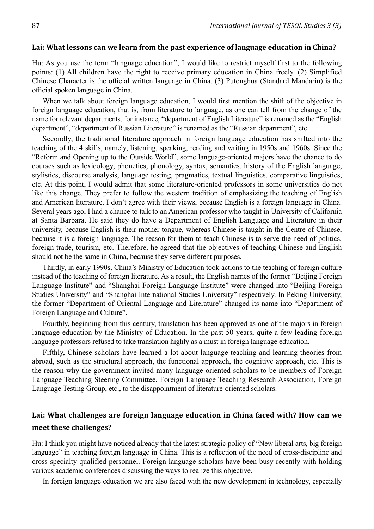#### **Lai: What lessons can we learn from the past experience of language education in China?**

Hu: As you use the term "language education", I would like to restrict myself first to the following points: (1) All children have the right to receive primary education in China freely. (2) Simplified Chinese Character is the official written language in China. (3) Putonghua (Standard Mandarin) is the official spoken language in China.

When we talk about foreign language education, I would first mention the shift of the objective in foreign language education, that is, from literature to language, as one can tell from the change of the name for relevant departments, for instance, "department of English Literature" is renamed as the "English department", "department of Russian Literature" is renamed as the "Russian department", etc.

Secondly, the traditional literature approach in foreign language education has shifted into the teaching of the 4 skills, namely, listening, speaking, reading and writing in 1950s and 1960s. Since the "Reform and Opening up to the Outside World", some language-oriented majors have the chance to do courses such as lexicology, phonetics, phonology, syntax, semantics, history of the English language, stylistics, discourse analysis, language testing, pragmatics, textual linguistics, comparative linguistics, etc. At this point, I would admit that some literature-oriented professors in some universities do not like this change. They prefer to follow the western tradition of emphasizing the teaching of English and American literature. I don't agree with their views, because English is a foreign language in China. Several years ago, I had a chance to talk to an American professor who taught in University of California at Santa Barbara. He said they do have a Department of English Language and Literature in their university, because English is their mother tongue, whereas Chinese is taught in the Centre of Chinese, because it is a foreign language. The reason for them to teach Chinese is to serve the need of politics, foreign trade, tourism, etc. Therefore, he agreed that the objectives of teaching Chinese and English should not be the same in China, because they serve different purposes.

Thirdly, in early 1990s, China's Ministry of Education took actions to the teaching of foreign culture instead of the teaching of foreign literature. As a result, the English names of the former "Beijing Foreign Language Institute" and "Shanghai Foreign Language Institute" were changed into "Beijing Foreign Studies University" and "Shanghai International Studies University" respectively. In Peking University, the former "Department of Oriental Language and Literature" changed its name into "Department of Foreign Language and Culture".

Fourthly, beginning from this century, translation has been approved as one of the majors in foreign language education by the Ministry of Education. In the past 50 years, quite a few leading foreign language professors refused to take translation highly as a must in foreign language education.

Fifthly, Chinese scholars have learned a lot about language teaching and learning theories from abroad, such as the structural approach, the functional approach, the cognitive approach, etc. This is the reason why the government invited many language-oriented scholars to be members of Foreign Language Teaching Steering Committee, Foreign Language Teaching Research Association, Foreign Language Testing Group, etc., to the disappointment of literature-oriented scholars.

### **Lai: What challenges are foreign language education in China faced with? How can we meet these challenges?**

Hu: I think you might have noticed already that the latest strategic policy of "New liberal arts, big foreign language" in teaching foreign language in China. This is a reflection of the need of cross-discipline and cross-specialty qualified personnel. Foreign language scholars have been busy recently with holding various academic conferences discussing the ways to realize this objective.

In foreign language education we are also faced with the new development in technology, especially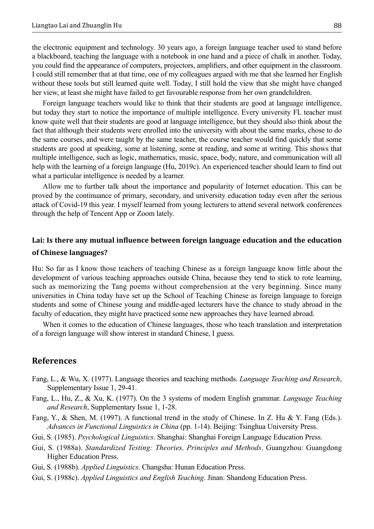the electronic equipment and technology. 30 years ago, a foreign language teacher used to stand before a blackboard, teaching the language with a notebook in one hand and a piece of chalk in another. Today, you could find the appearance of computers, projectors, amplifiers, and other equipment in the classroom. I could still remember that at that time, one of my colleagues argued with me that she learned her English without these tools but still learned quite well. Today, I still hold the view that she might have changed her view, at least she might have failed to get favourable response from her own grandchildren.

Foreign language teachers would like to think that their students are good at language intelligence, but today they start to notice the importance of multiple intelligence. Every university FL teacher must know quite well that their students are good at language intelligence, but they should also think about the fact that although their students were enrolled into the university with about the same marks, chose to do the same courses, and were taught by the same teacher, the course teacher would find quickly that some students are good at speaking, some at listening, some at reading, and some at writing. This shows that multiple intelligence, such as logic, mathematics, music, space, body, nature, and communication will all help with the learning of a foreign language (Hu, 2019c). An experienced teacher should learn to find out what a particular intelligence is needed by a learner.

Allow me to further talk about the importance and popularity of Internet education. This can be proved by the continuance of primary, secondary, and university education today even after the serious attack of Covid-19 this year. I myself learned from young lecturers to attend several network conferences through the help of Tencent App or Zoom lately.

### **Lai: Is there any mutual influence between foreign language education and the education of Chinese languages?**

Hu: So far as I know those teachers of teaching Chinese as a foreign language know little about the development of various teaching approaches outside China, because they tend to stick to rote learning, such as memorizing the Tang poems without comprehension at the very beginning. Since many universities in China today have set up the School of Teaching Chinese as foreign language to foreign students and some of Chinese young and middle-aged lecturers have the chance to study abroad in the faculty of education, they might have practiced some new approaches they have learned abroad.

When it comes to the education of Chinese languages, those who teach translation and interpretation of a foreign language will show interest in standard Chinese, I guess.

#### **References**

- Fang, L., & Wu, X. (1977). Language theories and teaching methods. *Language Teaching and Research*, Supplementary Issue 1, 29-41.
- Fang, L., Hu, Z., & Xu, K. (1977). On the 3 systems of modern English grammar. *Language Teaching and Research*, Supplementary Issue 1, 1-28.
- Fang, Y., & Shen, M. (1997). A functional trend in the study of Chinese. In Z. Hu & Y. Fang (Eds.). *Advances in Functional Linguistics in China* (pp. 1-14). Beijing: Tsinghua University Press.
- Gui, S. (1985). *Psychological Linguistics*. Shanghai: Shanghai Foreign Language Education Press.
- Gui, S. (1988a). *Standardized Testing: Theories, Principles and Methods*. Guangzhou: Guangdong Higher Education Press.
- Gui, S. (1988b). *Applied Linguistics*. Changsha: Hunan Education Press.
- Gui, S. (1988c). *Applied Linguistics and English Teaching*. Jinan: Shandong Education Press.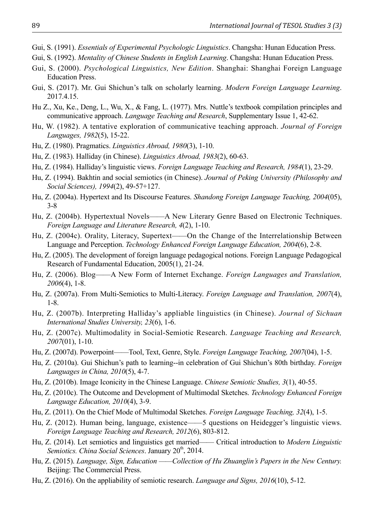- Gui, S. (1991). *Essentials of Experimental Psychologic Linguistics*. Changsha: Hunan Education Press.
- Gui, S. (1992). *Mentality of Chinese Students in English Learning*. Changsha: Hunan Education Press.
- Gui, S. (2000). *Psychological Linguistics, New Edition*. Shanghai: Shanghai Foreign Language Education Press.
- Gui, S. (2017). Mr. Gui Shichun's talk on scholarly learning. *Modern Foreign Language Learning*. 2017.4.15.
- Hu Z., Xu, Ke., Deng, L., Wu, X., & Fang, L. (1977). Mrs. Nuttle's textbook compilation principles and communicative approach. *Language Teaching and Research*, Supplementary Issue 1, 42-62.
- Hu, W. (1982). A tentative exploration of communicative teaching approach. *Journal of Foreign Languages, 1982*(5), 15-22.
- Hu, Z. (1980). Pragmatics. *Linguistics Abroad, 1980*(3), 1-10.
- Hu, Z. (1983). Halliday (in Chinese). *Linguistics Abroad, 1983*(2), 60-63.
- Hu, Z. (1984). Halliday's linguistic views. *Foreign Language Teaching and Research, 1984*(1), 23-29.
- Hu, Z. (1994). Bakhtin and social semiotics (in Chinese). *Journal of Peking University (Philosophy and Social Sciences), 1994*(2), 49-57+127.
- Hu, Z. (2004a). Hypertext and Its Discourse Features. *Shandong Foreign Language Teaching, 2004*(05), 3-8
- Hu, Z. (2004b). Hypertextual Novels——A New Literary Genre Based on Electronic Techniques. *Foreign Language and Literature Research, 4*(2), 1-10.
- Hu, Z. (2004c). Orality, Literacy, Supertext——On the Change of the Interrelationship Between Language and Perception. *Technology Enhanced Foreign Language Education, 2004*(6), 2-8.
- Hu, Z. (2005). The development of foreign language pedagogical notions. Foreign Language Pedagogical Research of Fundamental Education, 2005(1), 21-24.
- Hu, Z. (2006). Blog——A New Form of Internet Exchange. *Foreign Languages and Translation, 2006*(4), 1-8.
- Hu, Z. (2007a). From Multi-Semiotics to Multi-Literacy. *Foreign Language and Translation, 2007*(4), 1-8.
- Hu, Z. (2007b). Interpreting Halliday's appliable linguistics (in Chinese). *Journal of Sichuan International Studies University, 23*(6), 1-6.
- Hu, Z. (2007c). Multimodality in Social-Semiotic Research. *Language Teaching and Research, 2007*(01), 1-10.
- Hu, Z. (2007d). Powerpoint——Tool, Text, Genre, Style. *Foreign Language Teaching, 2007*(04), 1-5.
- Hu, Z. (2010a). Gui Shichun's path to learning--in celebration of Gui Shichun's 80th birthday. *Foreign Languages in China, 2010*(5), 4-7.
- Hu, Z. (2010b). Image Iconicity in the Chinese Language. *Chinese Semiotic Studies, 3*(1), 40-55.
- Hu, Z. (2010c). The Outcome and Development of Multimodal Sketches. *Technology Enhanced Foreign Language Education, 2010*(4), 3-9.
- Hu, Z. (2011). On the Chief Mode of Multimodal Sketches. *Foreign Language Teaching, 32*(4), 1-5.
- Hu, Z. (2012). Human being, language, existence——5 questions on Heidegger's linguistic views. *Foreign Language Teaching and Research, 2012*(6), 803-812.
- Hu, Z. (2014). Let semiotics and linguistics get married—— Critical introduction to *Modern Linguistic*  Semiotics. China Social Sciences. January 20<sup>th</sup>, 2014.
- Hu, Z. (2015). *Language, Sign, Education ——Collection of Hu Zhuanglin's Papers in the New Century.*  Beijing: The Commercial Press.
- Hu, Z. (2016). On the appliability of semiotic research. *Language and Signs, 2016*(10), 5-12.